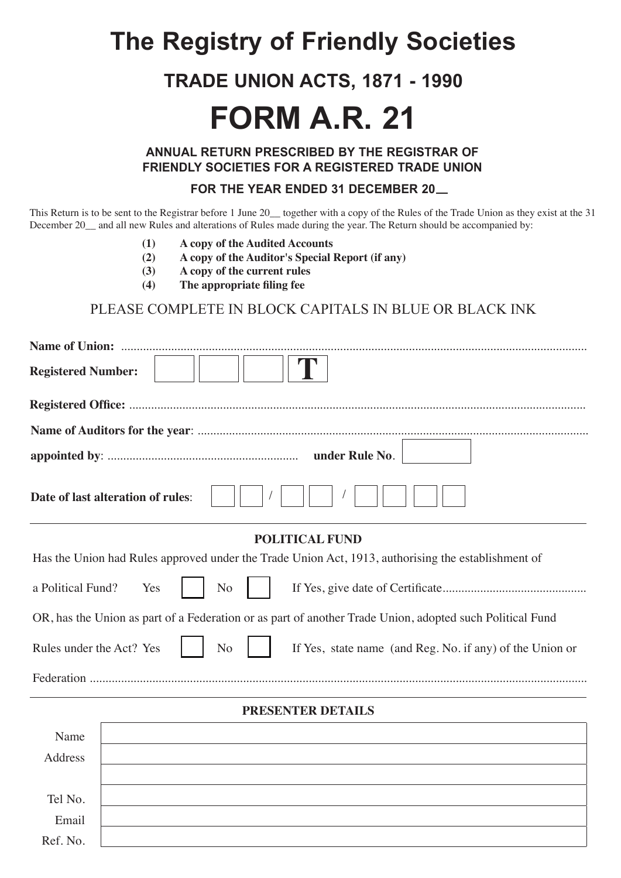# **The Registry of Friendly Societies**

### **TRADE UNION ACTS, 1871 - 1990**

# **FORM A.R. 21**

**ANNUAL RETURN PRESCRIBED BY THE REGISTRAR OF FRIENDLY SOCIETIES FOR A REGISTERED TRADE UNION**

#### **FOR THE YEAR ENDED 31 DECEMBER 20**

This Return is to be sent to the Registrar before 1 June 20 together with a copy of the Rules of the Trade Union as they exist at the 31 December 20 and all new Rules and alterations of Rules made during the year. The Return should be accompanied by:

- **(1) A copy of the Audited Accounts**
- **(2) A copy of the Auditor's Special Report (if any)**
- **(3) A copy of the current rules**
- **(4) The appropriate filing fee**

### PLEASE COMPLETE IN BLOCK CAPITALS IN BLUE OR BLACK INK

| <b>Registered Number:</b>                                                                                |
|----------------------------------------------------------------------------------------------------------|
|                                                                                                          |
|                                                                                                          |
| under Rule No.                                                                                           |
| Date of last alteration of rules:                                                                        |
| <b>POLITICAL FUND</b>                                                                                    |
| Has the Union had Rules approved under the Trade Union Act, 1913, authorising the establishment of       |
| a Political Fund?<br>N <sub>o</sub><br>Yes                                                               |
| OR, has the Union as part of a Federation or as part of another Trade Union, adopted such Political Fund |
| Rules under the Act? Yes<br>N <sub>o</sub><br>If Yes, state name (and Reg. No. if any) of the Union or   |
|                                                                                                          |
| PRESENTER DETAILS                                                                                        |
| Name                                                                                                     |
| Address                                                                                                  |
|                                                                                                          |
| Tel No.                                                                                                  |
| Email                                                                                                    |
| Ref. No.                                                                                                 |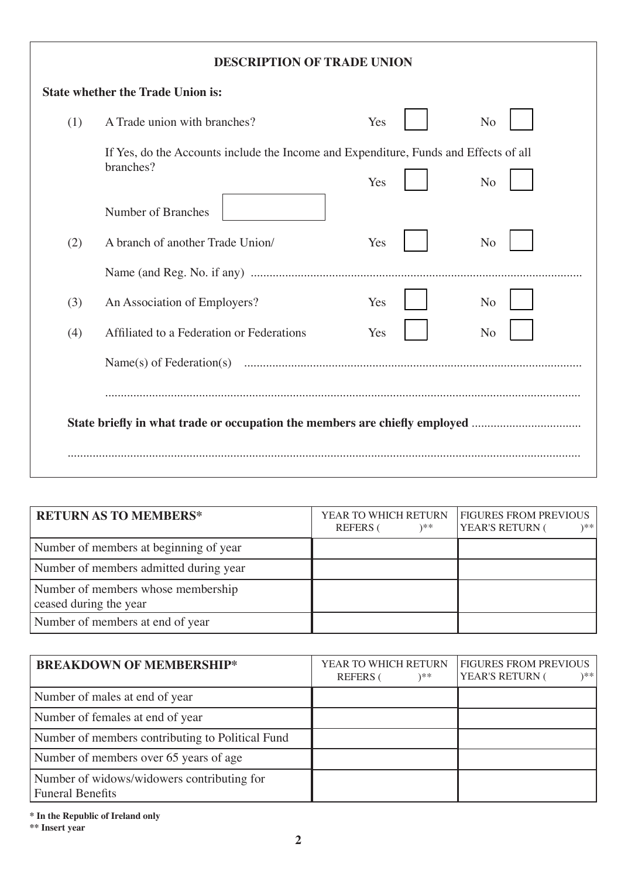|     | <b>DESCRIPTION OF TRADE UNION</b>                                                                 |     |                |
|-----|---------------------------------------------------------------------------------------------------|-----|----------------|
|     | <b>State whether the Trade Union is:</b>                                                          |     |                |
| (1) | A Trade union with branches?                                                                      | Yes | N <sub>o</sub> |
|     | If Yes, do the Accounts include the Income and Expenditure, Funds and Effects of all<br>branches? | Yes | N <sub>o</sub> |
| (2) | Number of Branches<br>A branch of another Trade Union/                                            | Yes | N <sub>o</sub> |
|     |                                                                                                   |     |                |
| (3) | An Association of Employers?                                                                      | Yes | N <sub>o</sub> |
| (4) | Affiliated to a Federation or Federations                                                         | Yes | N <sub>o</sub> |
|     |                                                                                                   |     |                |
|     |                                                                                                   |     |                |
|     | State briefly in what trade or occupation the members are chiefly employed                        |     |                |
|     |                                                                                                   |     |                |

| <b>RETURN AS TO MEMBERS*</b>                                 | YEAR TO WHICH RETURN<br>)**<br><b>REFERS</b> | <b>FIGURES FROM PREVIOUS</b><br>YEAR'S RETURN (<br>)** |
|--------------------------------------------------------------|----------------------------------------------|--------------------------------------------------------|
| Number of members at beginning of year                       |                                              |                                                        |
| Number of members admitted during year                       |                                              |                                                        |
| Number of members whose membership<br>ceased during the year |                                              |                                                        |
| Number of members at end of year                             |                                              |                                                        |

| <b>BREAKDOWN OF MEMBERSHIP*</b>                                       | YEAR TO WHICH RETURN<br><b>REFERS</b><br>)** | <b>FIGURES FROM PREVIOUS</b><br>YEAR'S RETURN (<br>) * * |
|-----------------------------------------------------------------------|----------------------------------------------|----------------------------------------------------------|
| Number of males at end of year                                        |                                              |                                                          |
| Number of females at end of year                                      |                                              |                                                          |
| Number of members contributing to Political Fund                      |                                              |                                                          |
| Number of members over 65 years of age                                |                                              |                                                          |
| Number of widows/widowers contributing for<br><b>Funeral Benefits</b> |                                              |                                                          |

**\* In the Republic of Ireland only**

**\*\* Insert year**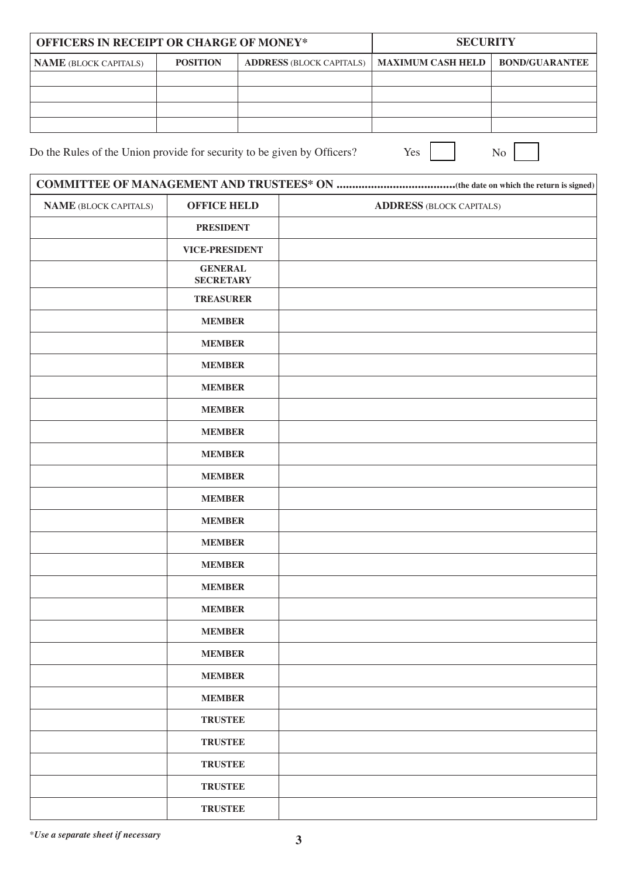| <b>OFFICERS IN RECEIPT OR CHARGE OF MONEY*</b> |                 |                                                       | <b>SECURITY</b> |                       |
|------------------------------------------------|-----------------|-------------------------------------------------------|-----------------|-----------------------|
| <b>NAME</b> (BLOCK CAPITALS)                   | <b>POSITION</b> | <b>ADDRESS (BLOCK CAPITALS)   MAXIMUM CASH HELD  </b> |                 | <b>BOND/GUARANTEE</b> |
|                                                |                 |                                                       |                 |                       |
|                                                |                 |                                                       |                 |                       |
|                                                |                 |                                                       |                 |                       |
|                                                |                 |                                                       |                 |                       |

Do the Rules of the Union provide for security to be given by Officers? Yes No

| <b>NAME</b> (BLOCK CAPITALS) | <b>OFFICE HELD</b>                 | <b>ADDRESS (BLOCK CAPITALS)</b> |  |
|------------------------------|------------------------------------|---------------------------------|--|
|                              | <b>PRESIDENT</b>                   |                                 |  |
|                              | <b>VICE-PRESIDENT</b>              |                                 |  |
|                              | <b>GENERAL</b><br><b>SECRETARY</b> |                                 |  |
|                              | <b>TREASURER</b>                   |                                 |  |
|                              | <b>MEMBER</b>                      |                                 |  |
|                              | <b>MEMBER</b>                      |                                 |  |
|                              | <b>MEMBER</b>                      |                                 |  |
|                              | <b>MEMBER</b>                      |                                 |  |
|                              | <b>MEMBER</b>                      |                                 |  |
|                              | <b>MEMBER</b>                      |                                 |  |
|                              | <b>MEMBER</b>                      |                                 |  |
|                              | <b>MEMBER</b>                      |                                 |  |
|                              | <b>MEMBER</b>                      |                                 |  |
|                              | <b>MEMBER</b>                      |                                 |  |
|                              | <b>MEMBER</b>                      |                                 |  |
|                              | <b>MEMBER</b>                      |                                 |  |
|                              | <b>MEMBER</b>                      |                                 |  |
|                              | <b>MEMBER</b>                      |                                 |  |
|                              | <b>MEMBER</b>                      |                                 |  |
|                              | <b>MEMBER</b>                      |                                 |  |
|                              | <b>MEMBER</b>                      |                                 |  |
|                              | <b>MEMBER</b>                      |                                 |  |
|                              | <b>TRUSTEE</b>                     |                                 |  |
|                              | <b>TRUSTEE</b>                     |                                 |  |
|                              | <b>TRUSTEE</b>                     |                                 |  |
|                              | <b>TRUSTEE</b>                     |                                 |  |
|                              | <b>TRUSTEE</b>                     |                                 |  |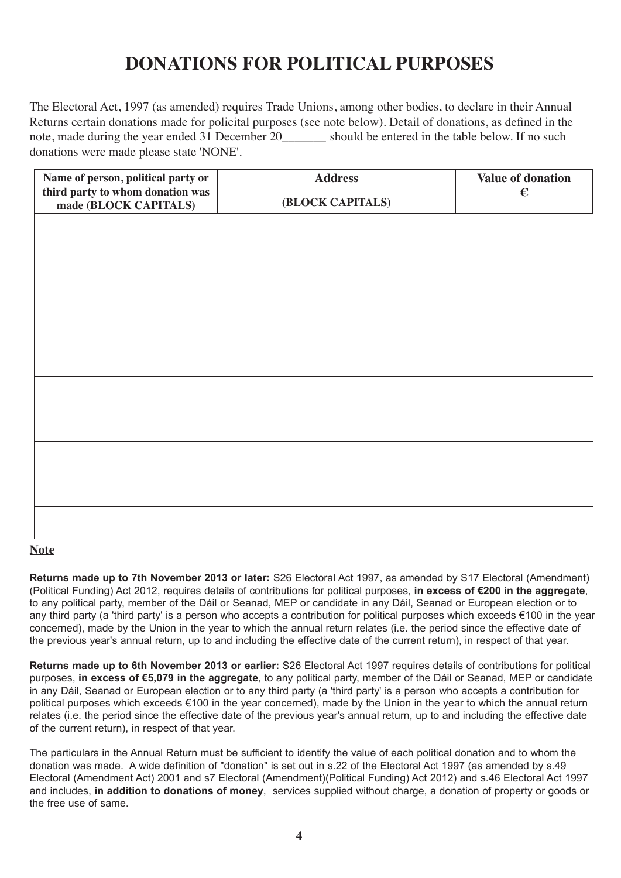### **DONATIONS FOR POLITICAL PURPOSES**

The Electoral Act, 1997 (as amended) requires Trade Unions, among other bodies, to declare in their Annual Returns certain donations made for policital purposes (see note below). Detail of donations, as defined in the note, made during the year ended 31 December 20 should be entered in the table below. If no such donations were made please state 'NONE'.

| Name of person, political party or<br>third party to whom donation was<br>made (BLOCK CAPITALS) | <b>Address</b><br>(BLOCK CAPITALS) | <b>Value of donation</b><br>€ |
|-------------------------------------------------------------------------------------------------|------------------------------------|-------------------------------|
|                                                                                                 |                                    |                               |
|                                                                                                 |                                    |                               |
|                                                                                                 |                                    |                               |
|                                                                                                 |                                    |                               |
|                                                                                                 |                                    |                               |
|                                                                                                 |                                    |                               |
|                                                                                                 |                                    |                               |
|                                                                                                 |                                    |                               |
|                                                                                                 |                                    |                               |
|                                                                                                 |                                    |                               |

#### **Note**

**Returns made up to 7th November 2013 or later:** S26 Electoral Act 1997, as amended by S17 Electoral (Amendment) (Political Funding) Act 2012, requires details of contributions for political purposes, **in excess of €200 in the aggregate**, to any political party, member of the Dáil or Seanad, MEP or candidate in any Dáil, Seanad or European election or to any third party (a 'third party' is a person who accepts a contribution for political purposes which exceeds €100 in the year concerned), made by the Union in the year to which the annual return relates (i.e. the period since the effective date of the previous year's annual return, up to and including the effective date of the current return), in respect of that year.

**Returns made up to 6th November 2013 or earlier:** S26 Electoral Act 1997 requires details of contributions for political purposes, **in excess of €5,079 in the aggregate**, to any political party, member of the Dáil or Seanad, MEP or candidate in any Dáil, Seanad or European election or to any third party (a 'third party' is a person who accepts a contribution for political purposes which exceeds €100 in the year concerned), made by the Union in the year to which the annual return relates (i.e. the period since the effective date of the previous year's annual return, up to and including the effective date of the current return), in respect of that year.

The particulars in the Annual Return must be sufficient to identify the value of each political donation and to whom the donation was made. A wide definition of "donation" is set out in s.22 of the Electoral Act 1997 (as amended by s.49 Electoral (Amendment Act) 2001 and s7 Electoral (Amendment)(Political Funding) Act 2012) and s.46 Electoral Act 1997 and includes, **in addition to donations of money**, services supplied without charge, a donation of property or goods or the free use of same.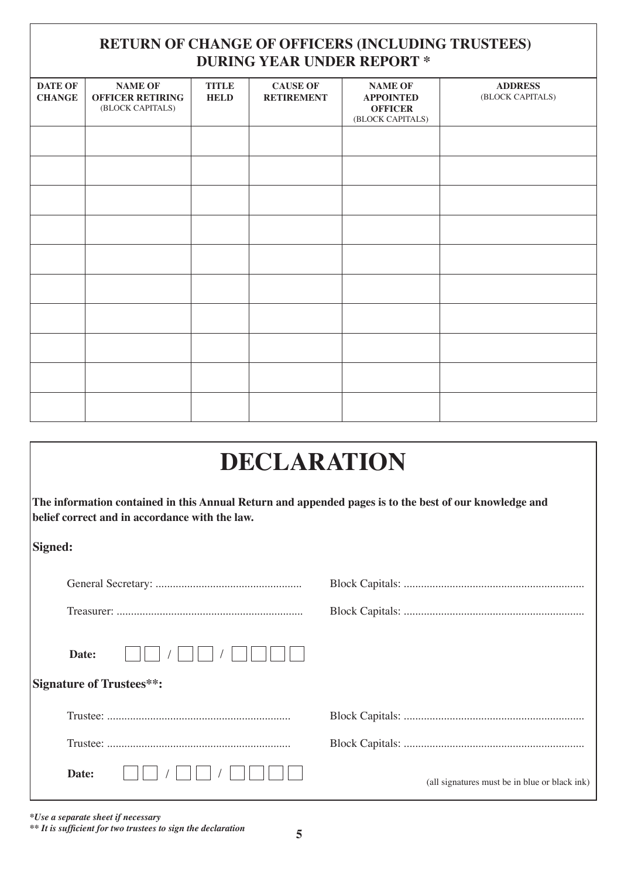### **RETURN OF CHANGE OF OFFICERS (INCLUDING TRUSTEES) DURING YEAR UNDER REPORT \***

| <b>DATE OF</b><br><b>CHANGE</b> | <b>NAME OF</b><br><b>OFFICER RETIRING</b><br>(BLOCK CAPITALS) | <b>TITLE</b><br><b>HELD</b> | <b>CAUSE OF</b><br><b>RETIREMENT</b> | <b>NAME OF</b><br><b>APPOINTED</b><br><b>OFFICER</b><br>(BLOCK CAPITALS) | <b>ADDRESS</b><br>(BLOCK CAPITALS) |
|---------------------------------|---------------------------------------------------------------|-----------------------------|--------------------------------------|--------------------------------------------------------------------------|------------------------------------|
|                                 |                                                               |                             |                                      |                                                                          |                                    |
|                                 |                                                               |                             |                                      |                                                                          |                                    |
|                                 |                                                               |                             |                                      |                                                                          |                                    |
|                                 |                                                               |                             |                                      |                                                                          |                                    |
|                                 |                                                               |                             |                                      |                                                                          |                                    |
|                                 |                                                               |                             |                                      |                                                                          |                                    |
|                                 |                                                               |                             |                                      |                                                                          |                                    |
|                                 |                                                               |                             |                                      |                                                                          |                                    |
|                                 |                                                               |                             |                                      |                                                                          |                                    |
|                                 |                                                               |                             |                                      |                                                                          |                                    |

| DECLARATION                                                                                                                                              |                                               |  |  |  |
|----------------------------------------------------------------------------------------------------------------------------------------------------------|-----------------------------------------------|--|--|--|
| The information contained in this Annual Return and appended pages is to the best of our knowledge and<br>belief correct and in accordance with the law. |                                               |  |  |  |
| Signed:                                                                                                                                                  |                                               |  |  |  |
|                                                                                                                                                          |                                               |  |  |  |
|                                                                                                                                                          |                                               |  |  |  |
| Date:                                                                                                                                                    |                                               |  |  |  |
| <b>Signature of Trustees**:</b>                                                                                                                          |                                               |  |  |  |
|                                                                                                                                                          |                                               |  |  |  |
|                                                                                                                                                          |                                               |  |  |  |
| Date:                                                                                                                                                    | (all signatures must be in blue or black ink) |  |  |  |

*\*Use a separate sheet if necessary*

*\*\* It is sufficient for two trustees to sign the declaration* **5**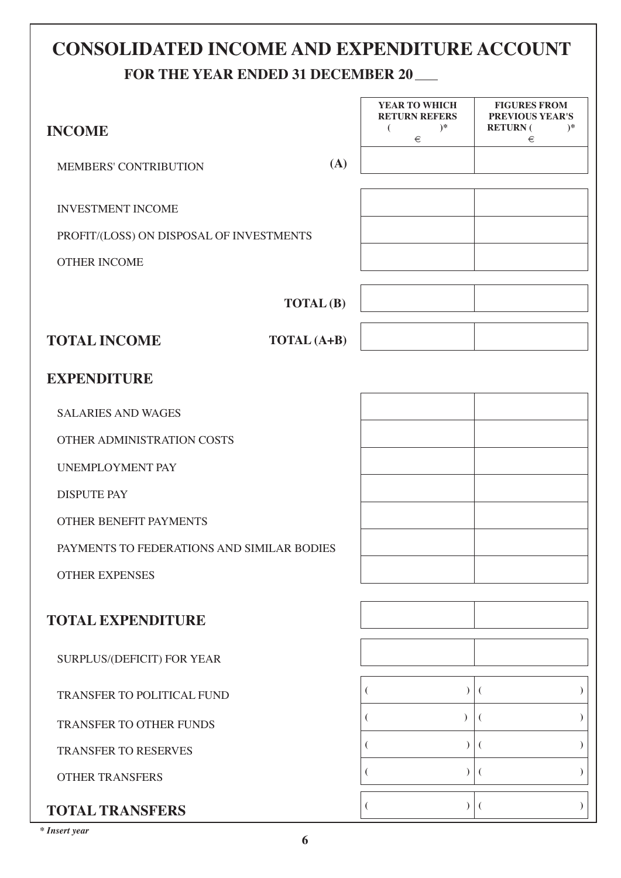## **CONSOLIDATED INCOME AND EXPENDITURE ACCOUNT FOR THE YEAR ENDED 31 DECEMBER 20**

| <b>INCOME</b>                              |     | YEAR TO WHICH<br><b>RETURN REFERS</b><br>$)^*$<br>€ | <b>FIGURES FROM</b><br>PREVIOUS YEAR'S<br><b>RETURN</b> (<br>$)*$<br>€ |
|--------------------------------------------|-----|-----------------------------------------------------|------------------------------------------------------------------------|
| MEMBERS' CONTRIBUTION                      | (A) |                                                     |                                                                        |
| <b>INVESTMENT INCOME</b>                   |     |                                                     |                                                                        |
| PROFIT/(LOSS) ON DISPOSAL OF INVESTMENTS   |     |                                                     |                                                                        |
| <b>OTHER INCOME</b>                        |     |                                                     |                                                                        |
| <b>TOTAL</b> (B)                           |     |                                                     |                                                                        |
| <b>TOTAL INCOME</b><br>TOTAL (A+B)         |     |                                                     |                                                                        |
| <b>EXPENDITURE</b>                         |     |                                                     |                                                                        |
| <b>SALARIES AND WAGES</b>                  |     |                                                     |                                                                        |
| OTHER ADMINISTRATION COSTS                 |     |                                                     |                                                                        |
| <b>UNEMPLOYMENT PAY</b>                    |     |                                                     |                                                                        |
| <b>DISPUTE PAY</b>                         |     |                                                     |                                                                        |
| <b>OTHER BENEFIT PAYMENTS</b>              |     |                                                     |                                                                        |
| PAYMENTS TO FEDERATIONS AND SIMILAR BODIES |     |                                                     |                                                                        |
| <b>OTHER EXPENSES</b>                      |     |                                                     |                                                                        |
| <b>TOTAL EXPENDITURE</b>                   |     |                                                     |                                                                        |
| SURPLUS/(DEFICIT) FOR YEAR                 |     |                                                     |                                                                        |
| TRANSFER TO POLITICAL FUND                 |     |                                                     |                                                                        |
| TRANSFER TO OTHER FUNDS                    |     |                                                     |                                                                        |
| TRANSFER TO RESERVES                       |     | $\lambda$                                           |                                                                        |
| <b>OTHER TRANSFERS</b>                     |     |                                                     |                                                                        |
| <b>TOTAL TRANSFERS</b>                     |     | $\mathcal{L}$                                       |                                                                        |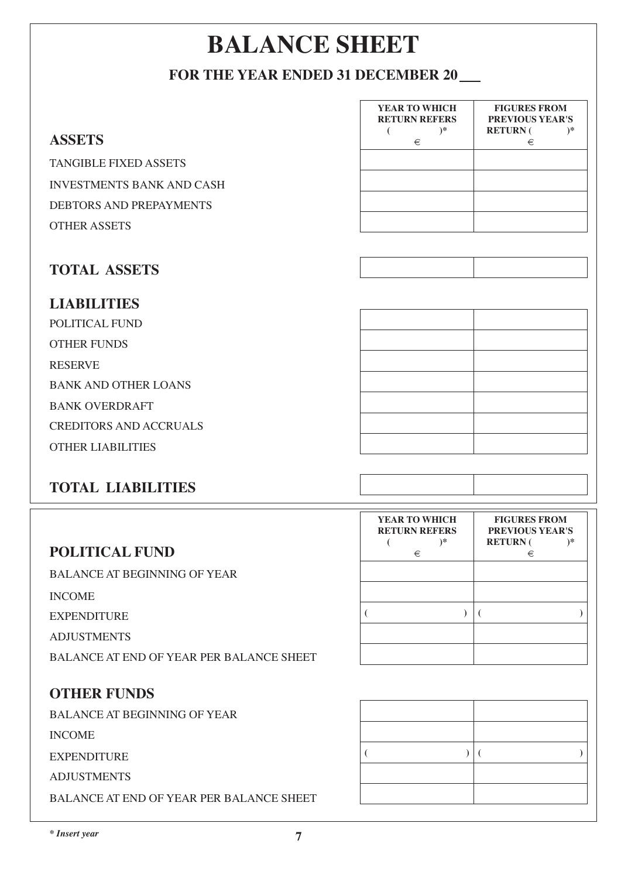# **BALANCE SHEET**

### **FOR THE YEAR ENDED 31 DECEMBER 20**

|                                                 | YEAR TO WHICH<br><b>RETURN REFERS</b>         | <b>FIGURES FROM</b><br>PREVIOUS YEAR'S                            |
|-------------------------------------------------|-----------------------------------------------|-------------------------------------------------------------------|
| <b>ASSETS</b>                                   | $)*$<br>€<br>€                                | <b>RETURN</b> (<br>$)*$<br>€                                      |
| <b>TANGIBLE FIXED ASSETS</b>                    |                                               |                                                                   |
| <b>INVESTMENTS BANK AND CASH</b>                |                                               |                                                                   |
| DEBTORS AND PREPAYMENTS                         |                                               |                                                                   |
| <b>OTHER ASSETS</b>                             |                                               |                                                                   |
| <b>TOTAL ASSETS</b>                             |                                               |                                                                   |
| <b>LIABILITIES</b>                              |                                               |                                                                   |
| POLITICAL FUND                                  |                                               |                                                                   |
| <b>OTHER FUNDS</b>                              |                                               |                                                                   |
| <b>RESERVE</b>                                  |                                               |                                                                   |
| <b>BANK AND OTHER LOANS</b>                     |                                               |                                                                   |
| <b>BANK OVERDRAFT</b>                           |                                               |                                                                   |
| <b>CREDITORS AND ACCRUALS</b>                   |                                               |                                                                   |
| <b>OTHER LIABILITIES</b>                        |                                               |                                                                   |
| <b>TOTAL LIABILITIES</b>                        |                                               |                                                                   |
|                                                 | YEAR TO WHICH<br><b>RETURN REFERS</b><br>$)*$ | <b>FIGURES FROM</b><br>PREVIOUS YEAR'S<br><b>RETURN</b> (<br>$)*$ |
| <b>POLITICAL FUND</b>                           | €                                             | €                                                                 |
| <b>BALANCE AT BEGINNING OF YEAR</b>             |                                               |                                                                   |
| <b>INCOME</b>                                   | $\mathcal{L}$                                 |                                                                   |
| <b>EXPENDITURE</b>                              |                                               | €                                                                 |
| <b>ADJUSTMENTS</b>                              |                                               |                                                                   |
| <b>BALANCE AT END OF YEAR PER BALANCE SHEET</b> |                                               |                                                                   |
| <b>OTHER FUNDS</b>                              |                                               |                                                                   |
| <b>BALANCE AT BEGINNING OF YEAR</b>             |                                               |                                                                   |
|                                                 |                                               |                                                                   |

INCOME

EXPENDITURE

ADJUSTMENTS

BALANCE AT END OF YEAR PER BALANCE SHEET